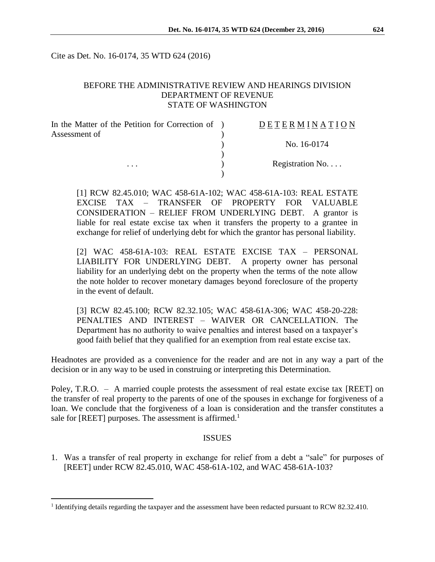Cite as Det. No. 16-0174, 35 WTD 624 (2016)

## BEFORE THE ADMINISTRATIVE REVIEW AND HEARINGS DIVISION DEPARTMENT OF REVENUE STATE OF WASHINGTON

| In the Matter of the Petition for Correction of ) | DETERMINATION   |
|---------------------------------------------------|-----------------|
| Assessment of                                     |                 |
|                                                   | No. 16-0174     |
|                                                   |                 |
| $\cdots$                                          | Registration No |
|                                                   |                 |

[1] RCW 82.45.010; WAC 458-61A-102; WAC 458-61A-103: REAL ESTATE EXCISE TAX – TRANSFER OF PROPERTY FOR VALUABLE CONSIDERATION – RELIEF FROM UNDERLYING DEBT. A grantor is liable for real estate excise tax when it transfers the property to a grantee in exchange for relief of underlying debt for which the grantor has personal liability.

[2] WAC 458-61A-103: REAL ESTATE EXCISE TAX – PERSONAL LIABILITY FOR UNDERLYING DEBT. A property owner has personal liability for an underlying debt on the property when the terms of the note allow the note holder to recover monetary damages beyond foreclosure of the property in the event of default.

[3] RCW 82.45.100; RCW 82.32.105; WAC 458-61A-306; WAC 458-20-228: PENALTIES AND INTEREST – WAIVER OR CANCELLATION. The Department has no authority to waive penalties and interest based on a taxpayer's good faith belief that they qualified for an exemption from real estate excise tax.

Headnotes are provided as a convenience for the reader and are not in any way a part of the decision or in any way to be used in construing or interpreting this Determination.

Poley, T.R.O. – A married couple protests the assessment of real estate excise tax [REET] on the transfer of real property to the parents of one of the spouses in exchange for forgiveness of a loan. We conclude that the forgiveness of a loan is consideration and the transfer constitutes a sale for [REET] purposes. The assessment is affirmed.<sup>1</sup>

## ISSUES

1. Was a transfer of real property in exchange for relief from a debt a "sale" for purposes of [REET] under RCW 82.45.010, WAC 458-61A-102, and WAC 458-61A-103?

 $\overline{a}$ 

<sup>&</sup>lt;sup>1</sup> Identifying details regarding the taxpayer and the assessment have been redacted pursuant to RCW 82.32.410.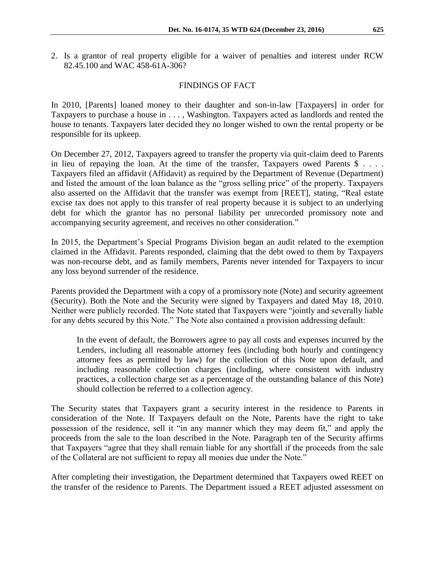2. Is a grantor of real property eligible for a waiver of penalties and interest under RCW 82.45.100 and WAC 458-61A-306?

# FINDINGS OF FACT

In 2010, [Parents] loaned money to their daughter and son-in-law [Taxpayers] in order for Taxpayers to purchase a house in . . . , Washington. Taxpayers acted as landlords and rented the house to tenants. Taxpayers later decided they no longer wished to own the rental property or be responsible for its upkeep.

On December 27, 2012, Taxpayers agreed to transfer the property via quit-claim deed to Parents in lieu of repaying the loan. At the time of the transfer, Taxpayers owed Parents \$ . . . . Taxpayers filed an affidavit (Affidavit) as required by the Department of Revenue (Department) and listed the amount of the loan balance as the "gross selling price" of the property. Taxpayers also asserted on the Affidavit that the transfer was exempt from [REET], stating, "Real estate excise tax does not apply to this transfer of real property because it is subject to an underlying debt for which the grantor has no personal liability per unrecorded promissory note and accompanying security agreement, and receives no other consideration."

In 2015, the Department's Special Programs Division began an audit related to the exemption claimed in the Affidavit. Parents responded, claiming that the debt owed to them by Taxpayers was non-recourse debt, and as family members, Parents never intended for Taxpayers to incur any loss beyond surrender of the residence.

Parents provided the Department with a copy of a promissory note (Note) and security agreement (Security). Both the Note and the Security were signed by Taxpayers and dated May 18, 2010. Neither were publicly recorded. The Note stated that Taxpayers were "jointly and severally liable for any debts secured by this Note." The Note also contained a provision addressing default:

In the event of default, the Borrowers agree to pay all costs and expenses incurred by the Lenders, including all reasonable attorney fees (including both hourly and contingency attorney fees as permitted by law) for the collection of this Note upon default, and including reasonable collection charges (including, where consistent with industry practices, a collection charge set as a percentage of the outstanding balance of this Note) should collection be referred to a collection agency.

The Security states that Taxpayers grant a security interest in the residence to Parents in consideration of the Note. If Taxpayers default on the Note, Parents have the right to take possession of the residence, sell it "in any manner which they may deem fit," and apply the proceeds from the sale to the loan described in the Note. Paragraph ten of the Security affirms that Taxpayers "agree that they shall remain liable for any shortfall if the proceeds from the sale of the Collateral are not sufficient to repay all monies due under the Note."

After completing their investigation, the Department determined that Taxpayers owed REET on the transfer of the residence to Parents. The Department issued a REET adjusted assessment on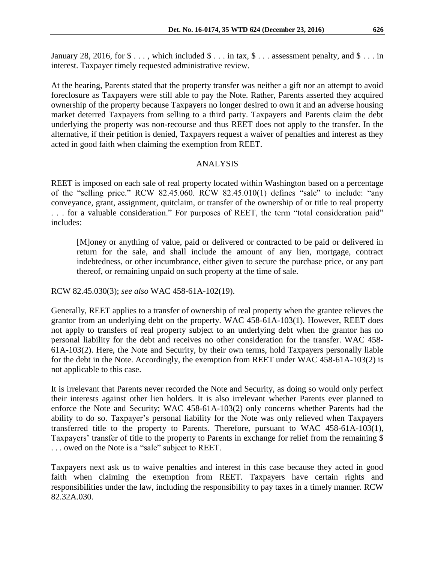January 28, 2016, for  $\$\ldots$$ , which included  $\$\ldots$$  in tax,  $\$\ldots$$  assessment penalty, and  $\$\ldots$$  in interest. Taxpayer timely requested administrative review.

At the hearing, Parents stated that the property transfer was neither a gift nor an attempt to avoid foreclosure as Taxpayers were still able to pay the Note. Rather, Parents asserted they acquired ownership of the property because Taxpayers no longer desired to own it and an adverse housing market deterred Taxpayers from selling to a third party. Taxpayers and Parents claim the debt underlying the property was non-recourse and thus REET does not apply to the transfer. In the alternative, if their petition is denied, Taxpayers request a waiver of penalties and interest as they acted in good faith when claiming the exemption from REET.

## ANALYSIS

REET is imposed on each sale of real property located within Washington based on a percentage of the "selling price." RCW 82.45.060. RCW 82.45.010(1) defines "sale" to include: "any conveyance, grant, assignment, quitclaim, or transfer of the ownership of or title to real property . . . for a valuable consideration." For purposes of REET, the term "total consideration paid" includes:

[M]oney or anything of value, paid or delivered or contracted to be paid or delivered in return for the sale, and shall include the amount of any lien, mortgage, contract indebtedness, or other incumbrance, either given to secure the purchase price, or any part thereof, or remaining unpaid on such property at the time of sale.

RCW 82.45.030(3); *see also* WAC 458-61A-102(19).

Generally, REET applies to a transfer of ownership of real property when the grantee relieves the grantor from an underlying debt on the property. WAC 458-61A-103(1). However, REET does not apply to transfers of real property subject to an underlying debt when the grantor has no personal liability for the debt and receives no other consideration for the transfer. WAC 458- 61A-103(2). Here, the Note and Security, by their own terms, hold Taxpayers personally liable for the debt in the Note. Accordingly, the exemption from REET under WAC 458-61A-103(2) is not applicable to this case.

It is irrelevant that Parents never recorded the Note and Security, as doing so would only perfect their interests against other lien holders. It is also irrelevant whether Parents ever planned to enforce the Note and Security; WAC 458-61A-103(2) only concerns whether Parents had the ability to do so. Taxpayer's personal liability for the Note was only relieved when Taxpayers transferred title to the property to Parents. Therefore, pursuant to WAC 458-61A-103(1), Taxpayers' transfer of title to the property to Parents in exchange for relief from the remaining \$ . . . owed on the Note is a "sale" subject to REET.

Taxpayers next ask us to waive penalties and interest in this case because they acted in good faith when claiming the exemption from REET. Taxpayers have certain rights and responsibilities under the law, including the responsibility to pay taxes in a timely manner. RCW 82.32A.030.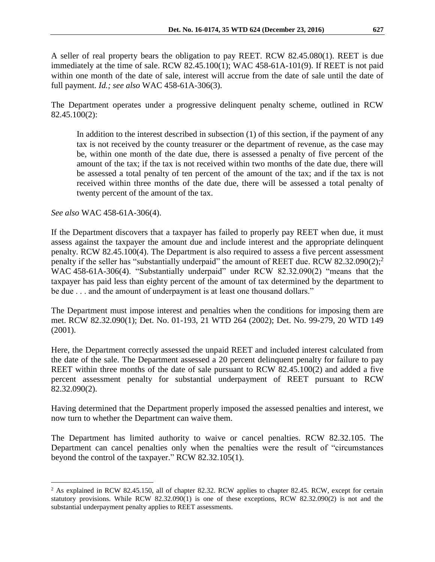A seller of real property bears the obligation to pay REET. RCW 82.45.080(1). REET is due immediately at the time of sale. RCW 82.45.100(1); WAC 458-61A-101(9). If REET is not paid within one month of the date of sale, interest will accrue from the date of sale until the date of full payment. *Id.; see also* WAC 458-61A-306(3).

The Department operates under a progressive delinquent penalty scheme, outlined in RCW 82.45.100(2):

In addition to the interest described in subsection (1) of this section, if the payment of any tax is not received by the county treasurer or the department of revenue, as the case may be, within one month of the date due, there is assessed a penalty of five percent of the amount of the tax; if the tax is not received within two months of the date due, there will be assessed a total penalty of ten percent of the amount of the tax; and if the tax is not received within three months of the date due, there will be assessed a total penalty of twenty percent of the amount of the tax.

*See also* WAC 458-61A-306(4).

 $\overline{a}$ 

If the Department discovers that a taxpayer has failed to properly pay REET when due, it must assess against the taxpayer the amount due and include interest and the appropriate delinquent penalty. RCW 82.45.100(4). The Department is also required to assess a five percent assessment penalty if the seller has "substantially underpaid" the amount of REET due. RCW 82.32.090(2);<sup>2</sup> WAC 458-61A-306(4). "Substantially underpaid" under RCW 82.32.090(2) "means that the taxpayer has paid less than eighty percent of the amount of tax determined by the department to be due . . . and the amount of underpayment is at least one thousand dollars."

The Department must impose interest and penalties when the conditions for imposing them are met. RCW 82.32.090(1); Det. No. 01-193, 21 WTD 264 (2002); Det. No. 99-279, 20 WTD 149 (2001).

Here, the Department correctly assessed the unpaid REET and included interest calculated from the date of the sale. The Department assessed a 20 percent delinquent penalty for failure to pay REET within three months of the date of sale pursuant to RCW 82.45.100(2) and added a five percent assessment penalty for substantial underpayment of REET pursuant to RCW 82.32.090(2).

Having determined that the Department properly imposed the assessed penalties and interest, we now turn to whether the Department can waive them.

The Department has limited authority to waive or cancel penalties. RCW 82.32.105. The Department can cancel penalties only when the penalties were the result of "circumstances beyond the control of the taxpayer." RCW 82.32.105(1).

<sup>&</sup>lt;sup>2</sup> As explained in RCW 82.45.150, all of chapter 82.32. RCW applies to chapter 82.45. RCW, except for certain statutory provisions. While RCW 82.32.090(1) is one of these exceptions, RCW 82.32.090(2) is not and the substantial underpayment penalty applies to REET assessments.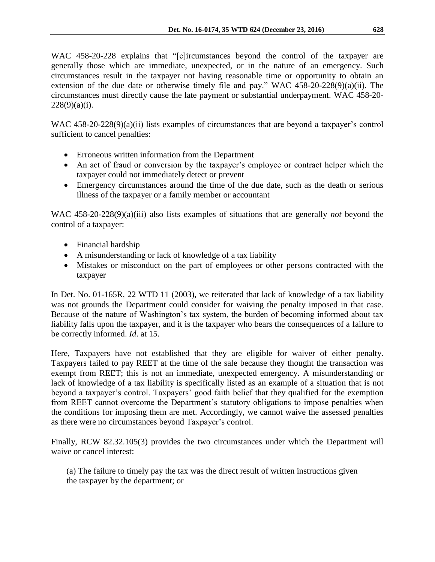WAC 458-20-228 explains that "[c]ircumstances beyond the control of the taxpayer are generally those which are immediate, unexpected, or in the nature of an emergency. Such circumstances result in the taxpayer not having reasonable time or opportunity to obtain an extension of the due date or otherwise timely file and pay." WAC 458-20-228(9)(a)(ii). The circumstances must directly cause the late payment or substantial underpayment. WAC 458-20-  $228(9)(a)(i)$ .

WAC 458-20-228(9)(a)(ii) lists examples of circumstances that are beyond a taxpayer's control sufficient to cancel penalties:

- Erroneous written information from the Department
- An act of fraud or conversion by the taxpayer's employee or contract helper which the taxpayer could not immediately detect or prevent
- Emergency circumstances around the time of the due date, such as the death or serious illness of the taxpayer or a family member or accountant

WAC 458-20-228(9)(a)(iii) also lists examples of situations that are generally *not* beyond the control of a taxpayer:

- Financial hardship
- A misunderstanding or lack of knowledge of a tax liability
- Mistakes or misconduct on the part of employees or other persons contracted with the taxpayer

In Det. No. 01-165R, 22 WTD 11 (2003), we reiterated that lack of knowledge of a tax liability was not grounds the Department could consider for waiving the penalty imposed in that case. Because of the nature of Washington's tax system, the burden of becoming informed about tax liability falls upon the taxpayer, and it is the taxpayer who bears the consequences of a failure to be correctly informed. *Id*. at 15.

Here, Taxpayers have not established that they are eligible for waiver of either penalty. Taxpayers failed to pay REET at the time of the sale because they thought the transaction was exempt from REET; this is not an immediate, unexpected emergency. A misunderstanding or lack of knowledge of a tax liability is specifically listed as an example of a situation that is not beyond a taxpayer's control. Taxpayers' good faith belief that they qualified for the exemption from REET cannot overcome the Department's statutory obligations to impose penalties when the conditions for imposing them are met. Accordingly, we cannot waive the assessed penalties as there were no circumstances beyond Taxpayer's control.

Finally, RCW 82.32.105(3) provides the two circumstances under which the Department will waive or cancel interest:

(a) The failure to timely pay the tax was the direct result of written instructions given the taxpayer by the department; or